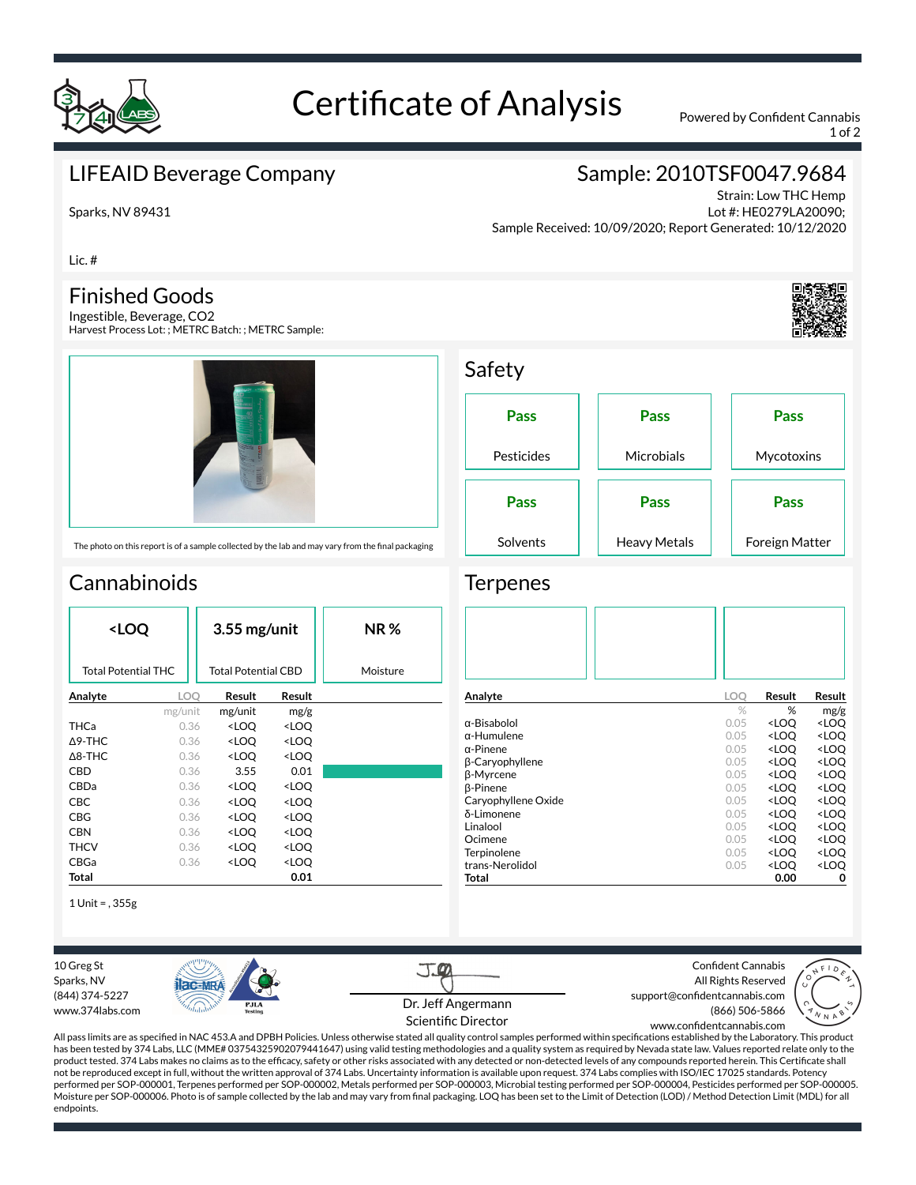

Sparks, NV 89431

# Certificate of Analysis Powered by Confident Cannabis

1 of 2

## LIFEAID Beverage Company

## Sample: 2010TSF0047.9684

Strain: Low THC Hemp Lot #: HE0279LA20090; Sample Received: 10/09/2020; Report Generated: 10/12/2020

Lic. #

### Finished Goods

Ingestible, Beverage, CO2 Harvest Process Lot: ; METRC Batch: ; METRC Sample:



**Pass** Pesticides **Pass Microbials Pass** Mycotoxins **Pass** Solvents **Pass** Heavy Metals **Pass** Foreign Matter

# **Cannabinoids**

| <loq< th=""><th></th><th colspan="2"><math>3.55</math> mg/unit</th><th><b>NR%</b></th></loq<> |                                                   | $3.55$ mg/unit                                           |                              | <b>NR%</b> |
|-----------------------------------------------------------------------------------------------|---------------------------------------------------|----------------------------------------------------------|------------------------------|------------|
|                                                                                               | <b>Total Potential THC</b><br>Total Potential CBD |                                                          |                              | Moisture   |
| Analyte                                                                                       | LOO                                               | Result                                                   | Result                       |            |
|                                                                                               | mg/unit                                           | mg/unit                                                  | mg/g                         |            |
| <b>THCa</b>                                                                                   | 0.36                                              | <loq< th=""><th><loq< th=""><th></th></loq<></th></loq<> | <loq< th=""><th></th></loq<> |            |
| $\Delta$ 9-THC                                                                                | 0.36                                              | <loq< th=""><th><loq< th=""><th></th></loq<></th></loq<> | <loq< th=""><th></th></loq<> |            |
| $\Delta$ 8-THC                                                                                | 0.36                                              | <loo< th=""><th><loo< th=""><th></th></loo<></th></loo<> | <loo< th=""><th></th></loo<> |            |
| CBD                                                                                           | 0.36                                              | 3.55                                                     | 0.01                         |            |
| CBDa                                                                                          | 0.36                                              | <loq< th=""><th><loq< th=""><th></th></loq<></th></loq<> | <loq< th=""><th></th></loq<> |            |
| CBC                                                                                           | 0.36                                              | <loq< th=""><th><loq< th=""><th></th></loq<></th></loq<> | <loq< th=""><th></th></loq<> |            |
| CBG                                                                                           | 0.36                                              | <loq< th=""><th><loq< th=""><th></th></loq<></th></loq<> | <loq< th=""><th></th></loq<> |            |
| <b>CBN</b>                                                                                    | 0.36                                              | <loq< th=""><th><loq< th=""><th></th></loq<></th></loq<> | <loq< th=""><th></th></loq<> |            |
| <b>THCV</b>                                                                                   | 0.36                                              | <loo< th=""><th><loq< th=""><th></th></loq<></th></loo<> | <loq< th=""><th></th></loq<> |            |
| CBGa                                                                                          | 0.36                                              | <loo< th=""><th><loq< th=""><th></th></loq<></th></loo<> | <loq< th=""><th></th></loq<> |            |
| Total                                                                                         |                                                   |                                                          | 0.01                         |            |

1 Unit = , 355g

10 Greg St Sparks, NV (844) 374-5227

**PIC-MR** www.374labs.com

J. Dr. Jeff Angermann Scientific Director

Confident Cannabis All Rights Reserved support@confidentcannabis.com (866) 506-5866



All pass limits are as specified in NAC 453.A and DPBH Policies. Unless otherwise stated all quality control samples performed within specifications established by the Laboratory. This product has been tested by 374 Labs, LLC (MME# 03754325902079441647) using valid testing methodologies and a quality system as required by Nevada state law. Values reported relate only to the product tested. 374 Labs makes no claims as to the efficacy, safety or other risks associated with any detected or non-detected levels of any compounds reported herein. This Certificate shall not be reproduced except in full, without the written approval of 374 Labs. Uncertainty information is available upon request. 374 Labs complies with ISO/IEC 17025 standards. Potency performed per SOP-000001, Terpenes performed per SOP-000002, Metals performed per SOP-000003, Microbial testing performed per SOP-000004, Pesticides performed per SOP-000005. Moisture per SOP-000006. Photo is of sample collected by the lab and may vary from nal packaging. LOQ has been set to the Limit of Detection (LOD) / Method Detection Limit (MDL) for all endpoints. www.confidentcannabis.com



**Terpenes** 

Safety

| Analyte                | LOO  | Result                                          | Result              |
|------------------------|------|-------------------------------------------------|---------------------|
|                        | $\%$ | %                                               | mg/g                |
| α-Bisabolol            | 0.05 | <loq< td=""><td><loq< td=""></loq<></td></loq<> | <loq< td=""></loq<> |
| $\alpha$ -Humulene     | 0.05 | <loo< td=""><td><loq< td=""></loq<></td></loo<> | <loq< td=""></loq<> |
| $\alpha$ -Pinene       | 0.05 | <loq< td=""><td><loq< td=""></loq<></td></loq<> | <loq< td=""></loq<> |
| <b>B-Caryophyllene</b> | 0.05 | <loq< td=""><td><loq< td=""></loq<></td></loq<> | <loq< td=""></loq<> |
| <b>B-Myrcene</b>       | 0.05 | <loo< td=""><td><loq< td=""></loq<></td></loo<> | <loq< td=""></loq<> |
| <b>ß-Pinene</b>        | 0.05 | <loo< td=""><td><loq< td=""></loq<></td></loo<> | <loq< td=""></loq<> |
| Caryophyllene Oxide    | 0.05 | <loq< td=""><td><loq< td=""></loq<></td></loq<> | <loq< td=""></loq<> |
| δ-Limonene             | 0.05 | <loo< td=""><td><loq< td=""></loq<></td></loo<> | <loq< td=""></loq<> |
| Linalool               | 0.05 | <loo< td=""><td><loq< td=""></loq<></td></loo<> | <loq< td=""></loq<> |
| Ocimene                | 0.05 | <loq< td=""><td><loq< td=""></loq<></td></loq<> | <loq< td=""></loq<> |
| Terpinolene            | 0.05 | <loq< td=""><td><loq< td=""></loq<></td></loq<> | <loq< td=""></loq<> |
| trans-Nerolidol        | 0.05 | <loq< td=""><td><loq< td=""></loq<></td></loq<> | <loq< td=""></loq<> |
| Total                  |      | 0.00                                            | 0                   |